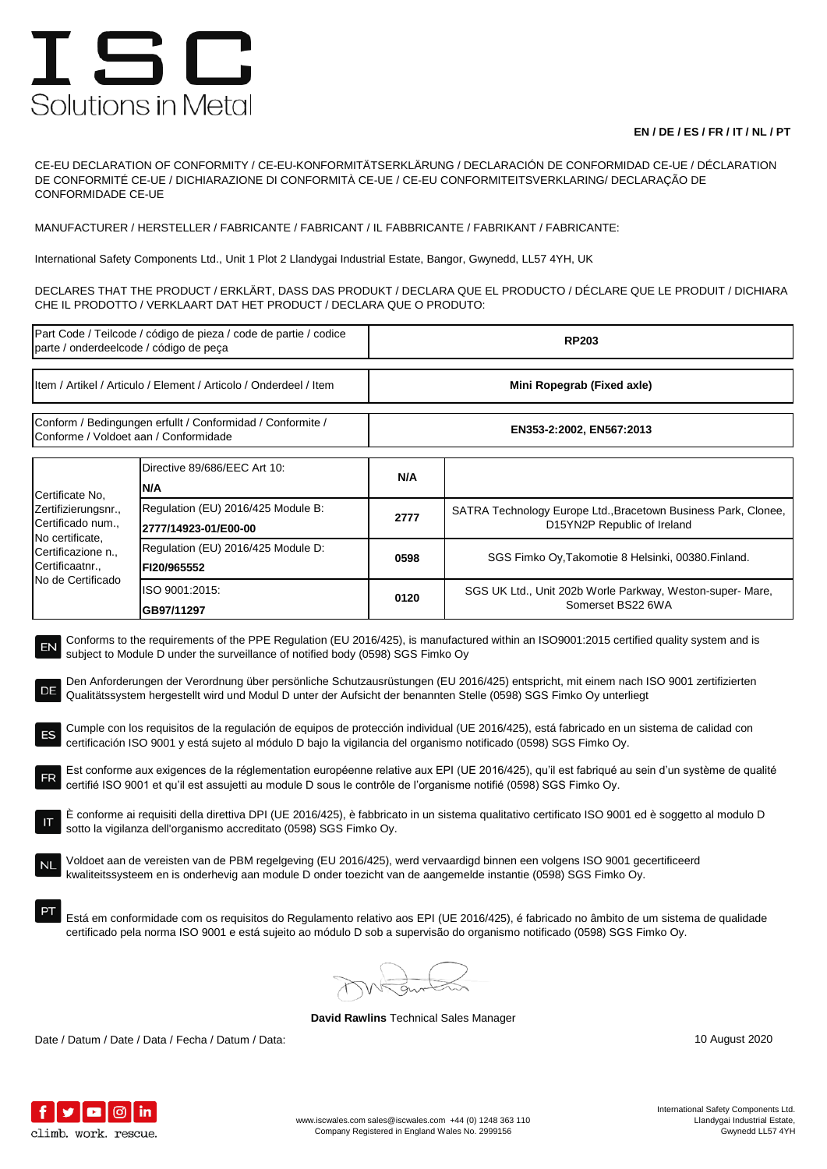## ISC Solutions in Metal

## **EN / DE / ES / FR / IT / NL / PT**

CE-EU DECLARATION OF CONFORMITY / CE-EU-KONFORMITÄTSERKLÄRUNG / DECLARACIÓN DE CONFORMIDAD CE-UE / DÉCLARATION DE CONFORMITÉ CE-UE / DICHIARAZIONE DI CONFORMITÀ CE-UE / CE-EU CONFORMITEITSVERKLARING/ DECLARAÇÃO DE CONFORMIDADE CE-UE

MANUFACTURER / HERSTELLER / FABRICANTE / FABRICANT / IL FABBRICANTE / FABRIKANT / FABRICANTE:

International Safety Components Ltd., Unit 1 Plot 2 Llandygai Industrial Estate, Bangor, Gwynedd, LL57 4YH, UK

DECLARES THAT THE PRODUCT / ERKLÄRT, DASS DAS PRODUKT / DECLARA QUE EL PRODUCTO / DÉCLARE QUE LE PRODUIT / DICHIARA CHE IL PRODOTTO / VERKLAART DAT HET PRODUCT / DECLARA QUE O PRODUTO:

| Part Code / Teilcode / código de pieza / code de partie / codice<br>parte / onderdeelcode / código de peça                                                                                                                                                                                                                                                                                                                                                                                                                                                                                                                                                                                                                                                                                                                                                                                                                                                                                                                                                                                                                                                                                                                                                                                                                                                                                                                                                                                                                                                                                                                                                                                                                                                                                       |                                    | <b>RP203</b>               |                                                                                               |  |  |
|--------------------------------------------------------------------------------------------------------------------------------------------------------------------------------------------------------------------------------------------------------------------------------------------------------------------------------------------------------------------------------------------------------------------------------------------------------------------------------------------------------------------------------------------------------------------------------------------------------------------------------------------------------------------------------------------------------------------------------------------------------------------------------------------------------------------------------------------------------------------------------------------------------------------------------------------------------------------------------------------------------------------------------------------------------------------------------------------------------------------------------------------------------------------------------------------------------------------------------------------------------------------------------------------------------------------------------------------------------------------------------------------------------------------------------------------------------------------------------------------------------------------------------------------------------------------------------------------------------------------------------------------------------------------------------------------------------------------------------------------------------------------------------------------------|------------------------------------|----------------------------|-----------------------------------------------------------------------------------------------|--|--|
| Item / Artikel / Articulo / Element / Articolo / Onderdeel / Item                                                                                                                                                                                                                                                                                                                                                                                                                                                                                                                                                                                                                                                                                                                                                                                                                                                                                                                                                                                                                                                                                                                                                                                                                                                                                                                                                                                                                                                                                                                                                                                                                                                                                                                                |                                    | Mini Ropegrab (Fixed axle) |                                                                                               |  |  |
| Conform / Bedingungen erfullt / Conformidad / Conformite /<br>Conforme / Voldoet aan / Conformidade                                                                                                                                                                                                                                                                                                                                                                                                                                                                                                                                                                                                                                                                                                                                                                                                                                                                                                                                                                                                                                                                                                                                                                                                                                                                                                                                                                                                                                                                                                                                                                                                                                                                                              |                                    | EN353-2:2002, EN567:2013   |                                                                                               |  |  |
| N/A<br>Certificate No,                                                                                                                                                                                                                                                                                                                                                                                                                                                                                                                                                                                                                                                                                                                                                                                                                                                                                                                                                                                                                                                                                                                                                                                                                                                                                                                                                                                                                                                                                                                                                                                                                                                                                                                                                                           | Directive 89/686/EEC Art 10:       | N/A                        |                                                                                               |  |  |
| Zertifizierungsnr.,<br>Certificado num.,<br>2777/14923-01/E00-00                                                                                                                                                                                                                                                                                                                                                                                                                                                                                                                                                                                                                                                                                                                                                                                                                                                                                                                                                                                                                                                                                                                                                                                                                                                                                                                                                                                                                                                                                                                                                                                                                                                                                                                                 | Regulation (EU) 2016/425 Module B: | 2777                       | SATRA Technology Europe Ltd., Bracetown Business Park, Clonee,<br>D15YN2P Republic of Ireland |  |  |
| No certificate,<br>Certificazione n.,<br>Certificaatnr.,<br>FI20/965552                                                                                                                                                                                                                                                                                                                                                                                                                                                                                                                                                                                                                                                                                                                                                                                                                                                                                                                                                                                                                                                                                                                                                                                                                                                                                                                                                                                                                                                                                                                                                                                                                                                                                                                          | Regulation (EU) 2016/425 Module D: | 0598                       | SGS Fimko Oy, Takomotie 8 Helsinki, 00380. Finland.                                           |  |  |
| No de Certificado<br>ISO 9001:2015:<br>GB97/11297                                                                                                                                                                                                                                                                                                                                                                                                                                                                                                                                                                                                                                                                                                                                                                                                                                                                                                                                                                                                                                                                                                                                                                                                                                                                                                                                                                                                                                                                                                                                                                                                                                                                                                                                                |                                    | 0120                       | SGS UK Ltd., Unit 202b Worle Parkway, Weston-super- Mare,<br>Somerset BS22 6WA                |  |  |
| Conforms to the requirements of the PPE Regulation (EU 2016/425), is manufactured within an ISO9001:2015 certified quality system and is<br>EN<br>subject to Module D under the surveillance of notified body (0598) SGS Fimko Oy<br>Den Anforderungen der Verordnung über persönliche Schutzausrüstungen (EU 2016/425) entspricht, mit einem nach ISO 9001 zertifizierten<br>Qualitätssystem hergestellt wird und Modul D unter der Aufsicht der benannten Stelle (0598) SGS Fimko Oy unterliegt<br>Cumple con los requisitos de la regulación de equipos de protección individual (UE 2016/425), está fabricado en un sistema de calidad con<br>certificación ISO 9001 y está sujeto al módulo D bajo la vigilancia del organismo notificado (0598) SGS Fimko Oy.<br>Est conforme aux exigences de la réglementation européenne relative aux EPI (UE 2016/425), qu'il est fabriqué au sein d'un système de qualité<br>FR<br>certifié ISO 9001 et qu'il est assujetti au module D sous le contrôle de l'organisme notifié (0598) SGS Fimko Oy.<br>È conforme ai requisiti della direttiva DPI (UE 2016/425), è fabbricato in un sistema qualitativo certificato ISO 9001 ed è soggetto al modulo D<br>sotto la vigilanza dell'organismo accreditato (0598) SGS Fimko Oy.<br>Voldoet aan de vereisten van de PBM regelgeving (EU 2016/425), werd vervaardigd binnen een volgens ISO 9001 gecertificeerd<br>kwaliteitssysteem en is onderhevig aan module D onder toezicht van de aangemelde instantie (0598) SGS Fimko Oy.<br>Está em conformidade com os requisitos do Regulamento relativo aos EPI (UE 2016/425), é fabricado no âmbito de um sistema de qualidade<br>certificado pela norma ISO 9001 e está sujeito ao módulo D sob a supervisão do organismo notificado (0598) SGS Fimko Oy. |                                    |                            |                                                                                               |  |  |

**David Rawlins** Technical Sales Manager

Date / Datum / Date / Data / Fecha / Datum / Data: 10 August 2020